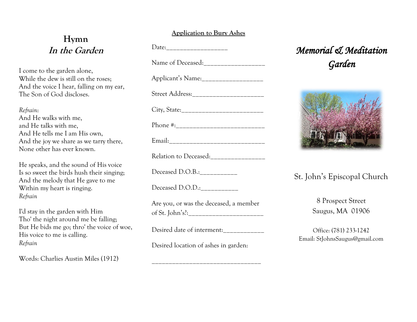## **Hymn In the Garden**

I come to the garden alone, While the dew is still on the roses; And the voice I hear, falling on my ear, The Son of God discloses.

### *Refrain*:

And He walks with me, and He talks with me, And He tells me I am His own, And the joy we share as we tarry there, None other has ever known.

He speaks, and the sound of His voice Is so sweet the birds hush their singing; And the melody that He gave to me Within my heart is ringing. *Refrain*

I'd stay in the garden with Him Tho' the night around me be falling; But He bids me go; thro' the voice of woe, His voice to me is calling. *Refrain*

Words: Charlies Austin Miles (1912)

### **Application to Bury Ashes**

Date:

Name of Deceased:

Applicant's Name:\_\_\_\_\_\_\_\_\_\_\_\_\_\_\_\_\_\_ Street Address: \_\_\_\_\_\_\_\_\_\_\_\_\_\_\_\_\_\_\_\_\_\_\_\_ City, State:\_\_\_\_\_\_\_\_\_\_\_\_\_\_\_\_\_\_\_\_\_\_\_\_

Phone #:\_\_\_\_\_\_\_\_\_\_\_\_\_\_\_\_\_\_\_\_\_\_\_\_\_\_

Email:\_\_\_\_\_\_\_\_\_\_\_\_\_\_\_\_\_\_\_\_\_\_\_\_\_\_\_\_

Relation to Deceased:\_\_\_\_\_\_\_\_\_\_\_\_\_\_\_\_

Deceased D.O.B.:

Deceased D.O.D.:

Are you, or was the deceased, a member of St. John's?:

Desired date of interment:\_\_\_\_\_\_\_\_\_\_\_\_

\_\_\_\_\_\_\_\_\_\_\_\_\_\_\_\_\_\_\_\_\_\_\_\_\_\_\_\_\_\_\_\_

Desired location of ashes in garden:

# *Memorial & Meditation Garden*



## St. John's Episcopal Church

8 Prospect Street Saugus, MA 01906

Office: (781) 233-1242 Email: StJohnsSaugus@gmail.com